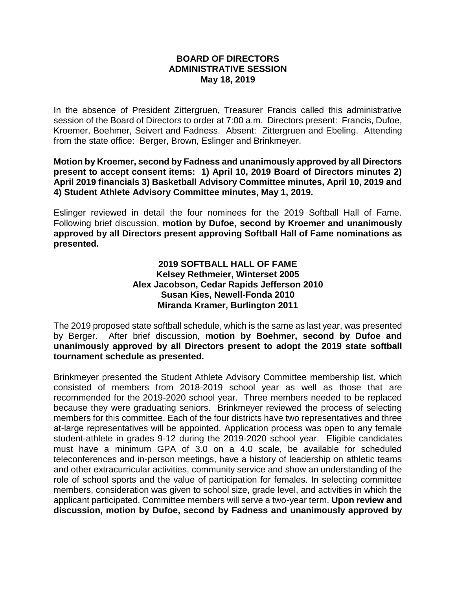## **BOARD OF DIRECTORS ADMINISTRATIVE SESSION May 18, 2019**

In the absence of President Zittergruen, Treasurer Francis called this administrative session of the Board of Directors to order at 7:00 a.m. Directors present: Francis, Dufoe, Kroemer, Boehmer, Seivert and Fadness. Absent: Zittergruen and Ebeling. Attending from the state office: Berger, Brown, Eslinger and Brinkmeyer.

**Motion by Kroemer, second by Fadness and unanimously approved by all Directors present to accept consent items: 1) April 10, 2019 Board of Directors minutes 2) April 2019 financials 3) Basketball Advisory Committee minutes, April 10, 2019 and 4) Student Athlete Advisory Committee minutes, May 1, 2019.**

Eslinger reviewed in detail the four nominees for the 2019 Softball Hall of Fame. Following brief discussion, **motion by Dufoe, second by Kroemer and unanimously approved by all Directors present approving Softball Hall of Fame nominations as presented.**

> **2019 SOFTBALL HALL OF FAME Kelsey Rethmeier, Winterset 2005 Alex Jacobson, Cedar Rapids Jefferson 2010 Susan Kies, Newell-Fonda 2010 Miranda Kramer, Burlington 2011**

The 2019 proposed state softball schedule, which is the same as last year, was presented by Berger. After brief discussion, **motion by Boehmer, second by Dufoe and unanimously approved by all Directors present to adopt the 2019 state softball tournament schedule as presented.**

Brinkmeyer presented the Student Athlete Advisory Committee membership list, which consisted of members from 2018-2019 school year as well as those that are recommended for the 2019-2020 school year. Three members needed to be replaced because they were graduating seniors. Brinkmeyer reviewed the process of selecting members for this committee. Each of the four districts have two representatives and three at-large representatives will be appointed. Application process was open to any female student-athlete in grades 9-12 during the 2019-2020 school year. Eligible candidates must have a minimum GPA of 3.0 on a 4.0 scale, be available for scheduled teleconferences and in-person meetings, have a history of leadership on athletic teams and other extracurricular activities, community service and show an understanding of the role of school sports and the value of participation for females. In selecting committee members, consideration was given to school size, grade level, and activities in which the applicant participated. Committee members will serve a two-year term. **Upon review and discussion, motion by Dufoe, second by Fadness and unanimously approved by**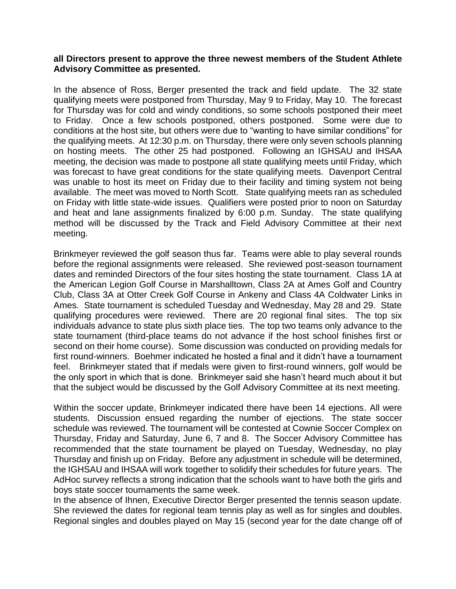## **all Directors present to approve the three newest members of the Student Athlete Advisory Committee as presented.**

In the absence of Ross, Berger presented the track and field update. The 32 state qualifying meets were postponed from Thursday, May 9 to Friday, May 10. The forecast for Thursday was for cold and windy conditions, so some schools postponed their meet to Friday. Once a few schools postponed, others postponed. Some were due to conditions at the host site, but others were due to "wanting to have similar conditions" for the qualifying meets. At 12:30 p.m. on Thursday, there were only seven schools planning on hosting meets. The other 25 had postponed. Following an IGHSAU and IHSAA meeting, the decision was made to postpone all state qualifying meets until Friday, which was forecast to have great conditions for the state qualifying meets. Davenport Central was unable to host its meet on Friday due to their facility and timing system not being available. The meet was moved to North Scott. State qualifying meets ran as scheduled on Friday with little state-wide issues. Qualifiers were posted prior to noon on Saturday and heat and lane assignments finalized by 6:00 p.m. Sunday. The state qualifying method will be discussed by the Track and Field Advisory Committee at their next meeting.

Brinkmeyer reviewed the golf season thus far. Teams were able to play several rounds before the regional assignments were released. She reviewed post-season tournament dates and reminded Directors of the four sites hosting the state tournament. Class 1A at the American Legion Golf Course in Marshalltown, Class 2A at Ames Golf and Country Club, Class 3A at Otter Creek Golf Course in Ankeny and Class 4A Coldwater Links in Ames. State tournament is scheduled Tuesday and Wednesday, May 28 and 29. State qualifying procedures were reviewed. There are 20 regional final sites. The top six individuals advance to state plus sixth place ties. The top two teams only advance to the state tournament (third-place teams do not advance if the host school finishes first or second on their home course). Some discussion was conducted on providing medals for first round-winners. Boehmer indicated he hosted a final and it didn't have a tournament feel. Brinkmeyer stated that if medals were given to first-round winners, golf would be the only sport in which that is done. Brinkmeyer said she hasn't heard much about it but that the subject would be discussed by the Golf Advisory Committee at its next meeting.

Within the soccer update, Brinkmeyer indicated there have been 14 ejections. All were students. Discussion ensued regarding the number of ejections. The state soccer schedule was reviewed. The tournament will be contested at Cownie Soccer Complex on Thursday, Friday and Saturday, June 6, 7 and 8. The Soccer Advisory Committee has recommended that the state tournament be played on Tuesday, Wednesday, no play Thursday and finish up on Friday. Before any adjustment in schedule will be determined, the IGHSAU and IHSAA will work together to solidify their schedules for future years. The AdHoc survey reflects a strong indication that the schools want to have both the girls and boys state soccer tournaments the same week.

In the absence of Ihnen, Executive Director Berger presented the tennis season update. She reviewed the dates for regional team tennis play as well as for singles and doubles. Regional singles and doubles played on May 15 (second year for the date change off of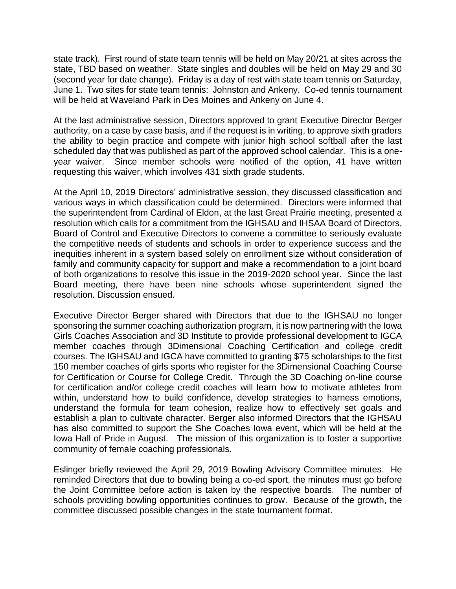state track). First round of state team tennis will be held on May 20/21 at sites across the state, TBD based on weather. State singles and doubles will be held on May 29 and 30 (second year for date change). Friday is a day of rest with state team tennis on Saturday, June 1. Two sites for state team tennis: Johnston and Ankeny. Co-ed tennis tournament will be held at Waveland Park in Des Moines and Ankeny on June 4.

At the last administrative session, Directors approved to grant Executive Director Berger authority, on a case by case basis, and if the request is in writing, to approve sixth graders the ability to begin practice and compete with junior high school softball after the last scheduled day that was published as part of the approved school calendar. This is a oneyear waiver. Since member schools were notified of the option, 41 have written requesting this waiver, which involves 431 sixth grade students.

At the April 10, 2019 Directors' administrative session, they discussed classification and various ways in which classification could be determined. Directors were informed that the superintendent from Cardinal of Eldon, at the last Great Prairie meeting, presented a resolution which calls for a commitment from the IGHSAU and IHSAA Board of Directors, Board of Control and Executive Directors to convene a committee to seriously evaluate the competitive needs of students and schools in order to experience success and the inequities inherent in a system based solely on enrollment size without consideration of family and community capacity for support and make a recommendation to a joint board of both organizations to resolve this issue in the 2019-2020 school year. Since the last Board meeting, there have been nine schools whose superintendent signed the resolution. Discussion ensued.

Executive Director Berger shared with Directors that due to the IGHSAU no longer sponsoring the summer coaching authorization program, it is now partnering with the Iowa Girls Coaches Association and 3D Institute to provide professional development to IGCA member coaches through 3Dimensional Coaching Certification and college credit courses. The IGHSAU and IGCA have committed to granting \$75 scholarships to the first 150 member coaches of girls sports who register for the 3Dimensional Coaching Course for Certification or Course for College Credit. Through the 3D Coaching on-line course for certification and/or college credit coaches will learn how to motivate athletes from within, understand how to build confidence, develop strategies to harness emotions, understand the formula for team cohesion, realize how to effectively set goals and establish a plan to cultivate character. Berger also informed Directors that the IGHSAU has also committed to support the She Coaches Iowa event, which will be held at the Iowa Hall of Pride in August. The mission of this organization is to foster a supportive community of female coaching professionals.

Eslinger briefly reviewed the April 29, 2019 Bowling Advisory Committee minutes. He reminded Directors that due to bowling being a co-ed sport, the minutes must go before the Joint Committee before action is taken by the respective boards. The number of schools providing bowling opportunities continues to grow. Because of the growth, the committee discussed possible changes in the state tournament format.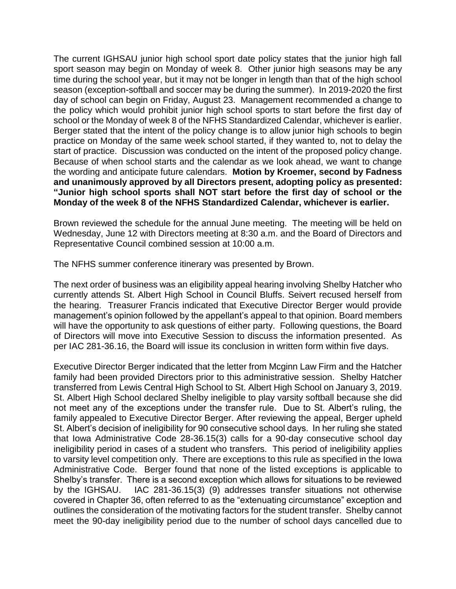The current IGHSAU junior high school sport date policy states that the junior high fall sport season may begin on Monday of week 8. Other junior high seasons may be any time during the school year, but it may not be longer in length than that of the high school season (exception-softball and soccer may be during the summer). In 2019-2020 the first day of school can begin on Friday, August 23. Management recommended a change to the policy which would prohibit junior high school sports to start before the first day of school or the Monday of week 8 of the NFHS Standardized Calendar, whichever is earlier. Berger stated that the intent of the policy change is to allow junior high schools to begin practice on Monday of the same week school started, if they wanted to, not to delay the start of practice. Discussion was conducted on the intent of the proposed policy change. Because of when school starts and the calendar as we look ahead, we want to change the wording and anticipate future calendars. **Motion by Kroemer, second by Fadness and unanimously approved by all Directors present, adopting policy as presented: "Junior high school sports shall NOT start before the first day of school or the Monday of the week 8 of the NFHS Standardized Calendar, whichever is earlier.** 

Brown reviewed the schedule for the annual June meeting. The meeting will be held on Wednesday, June 12 with Directors meeting at 8:30 a.m. and the Board of Directors and Representative Council combined session at 10:00 a.m.

The NFHS summer conference itinerary was presented by Brown.

The next order of business was an eligibility appeal hearing involving Shelby Hatcher who currently attends St. Albert High School in Council Bluffs. Seivert recused herself from the hearing. Treasurer Francis indicated that Executive Director Berger would provide management's opinion followed by the appellant's appeal to that opinion. Board members will have the opportunity to ask questions of either party. Following questions, the Board of Directors will move into Executive Session to discuss the information presented. As per IAC 281-36.16, the Board will issue its conclusion in written form within five days.

Executive Director Berger indicated that the letter from Mcginn Law Firm and the Hatcher family had been provided Directors prior to this administrative session. Shelby Hatcher transferred from Lewis Central High School to St. Albert High School on January 3, 2019. St. Albert High School declared Shelby ineligible to play varsity softball because she did not meet any of the exceptions under the transfer rule. Due to St. Albert's ruling, the family appealed to Executive Director Berger. After reviewing the appeal, Berger upheld St. Albert's decision of ineligibility for 90 consecutive school days. In her ruling she stated that Iowa Administrative Code 28-36.15(3) calls for a 90-day consecutive school day ineligibility period in cases of a student who transfers. This period of ineligibility applies to varsity level competition only. There are exceptions to this rule as specified in the Iowa Administrative Code. Berger found that none of the listed exceptions is applicable to Shelby's transfer. There is a second exception which allows for situations to be reviewed by the IGHSAU. IAC 281-36.15(3) (9) addresses transfer situations not otherwise covered in Chapter 36, often referred to as the "extenuating circumstance" exception and outlines the consideration of the motivating factors for the student transfer. Shelby cannot meet the 90-day ineligibility period due to the number of school days cancelled due to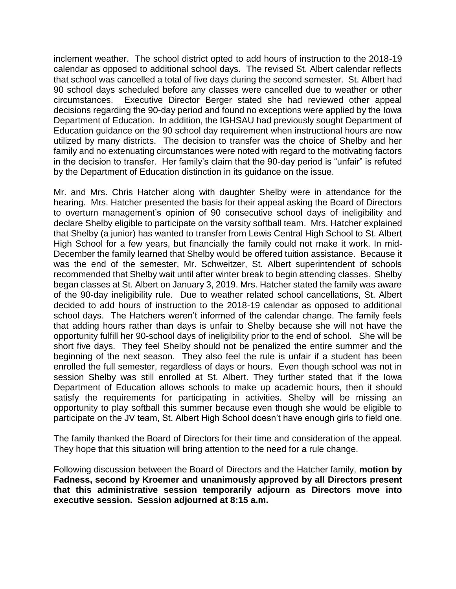inclement weather. The school district opted to add hours of instruction to the 2018-19 calendar as opposed to additional school days. The revised St. Albert calendar reflects that school was cancelled a total of five days during the second semester. St. Albert had 90 school days scheduled before any classes were cancelled due to weather or other circumstances. Executive Director Berger stated she had reviewed other appeal decisions regarding the 90-day period and found no exceptions were applied by the Iowa Department of Education. In addition, the IGHSAU had previously sought Department of Education guidance on the 90 school day requirement when instructional hours are now utilized by many districts. The decision to transfer was the choice of Shelby and her family and no extenuating circumstances were noted with regard to the motivating factors in the decision to transfer. Her family's claim that the 90-day period is "unfair" is refuted by the Department of Education distinction in its guidance on the issue.

Mr. and Mrs. Chris Hatcher along with daughter Shelby were in attendance for the hearing. Mrs. Hatcher presented the basis for their appeal asking the Board of Directors to overturn management's opinion of 90 consecutive school days of ineligibility and declare Shelby eligible to participate on the varsity softball team. Mrs. Hatcher explained that Shelby (a junior) has wanted to transfer from Lewis Central High School to St. Albert High School for a few years, but financially the family could not make it work. In mid-December the family learned that Shelby would be offered tuition assistance. Because it was the end of the semester, Mr. Schweitzer, St. Albert superintendent of schools recommended that Shelby wait until after winter break to begin attending classes. Shelby began classes at St. Albert on January 3, 2019. Mrs. Hatcher stated the family was aware of the 90-day ineligibility rule. Due to weather related school cancellations, St. Albert decided to add hours of instruction to the 2018-19 calendar as opposed to additional school days. The Hatchers weren't informed of the calendar change. The family feels that adding hours rather than days is unfair to Shelby because she will not have the opportunity fulfill her 90-school days of ineligibility prior to the end of school. She will be short five days. They feel Shelby should not be penalized the entire summer and the beginning of the next season. They also feel the rule is unfair if a student has been enrolled the full semester, regardless of days or hours. Even though school was not in session Shelby was still enrolled at St. Albert. They further stated that if the Iowa Department of Education allows schools to make up academic hours, then it should satisfy the requirements for participating in activities. Shelby will be missing an opportunity to play softball this summer because even though she would be eligible to participate on the JV team, St. Albert High School doesn't have enough girls to field one.

The family thanked the Board of Directors for their time and consideration of the appeal. They hope that this situation will bring attention to the need for a rule change.

Following discussion between the Board of Directors and the Hatcher family, **motion by Fadness, second by Kroemer and unanimously approved by all Directors present that this administrative session temporarily adjourn as Directors move into executive session. Session adjourned at 8:15 a.m.**